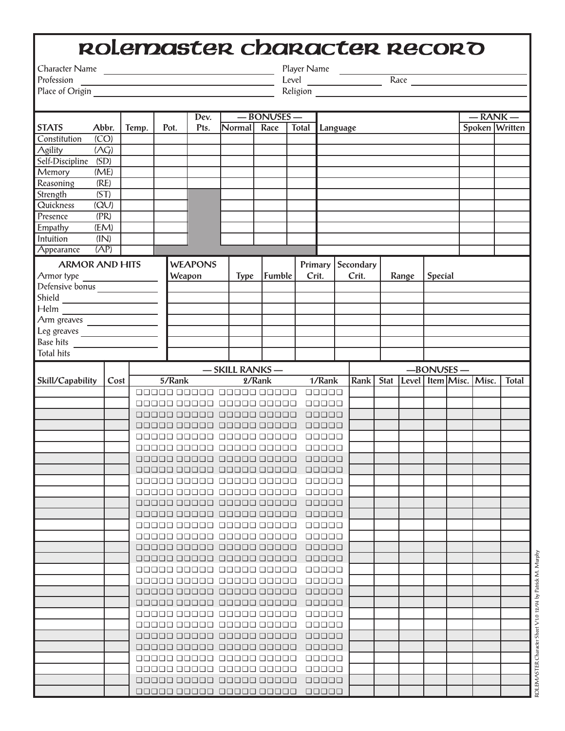## rolemaster Character Record

Character Name Player Name

Place of Origin **Religion** Religion

Profession Level Race

|                                                                                                     | Abbr.<br>Temp.    |  |        | Dev.                    |                         |                         | $-BONVSES -$ |                   |                       |       |                                             |              |  |         |  | $-RANK -$      |  |  |
|-----------------------------------------------------------------------------------------------------|-------------------|--|--------|-------------------------|-------------------------|-------------------------|--------------|-------------------|-----------------------|-------|---------------------------------------------|--------------|--|---------|--|----------------|--|--|
| <b>STATS</b>                                                                                        |                   |  | Pot.   | Pts.                    | Normal                  | Race                    |              | Total<br>Language |                       |       |                                             |              |  |         |  | Spoken Written |  |  |
| Constitution                                                                                        | $\overline{(CO)}$ |  |        |                         |                         |                         |              |                   |                       |       |                                             |              |  |         |  |                |  |  |
| Agility                                                                                             | (AG)              |  |        |                         |                         |                         |              |                   |                       |       |                                             |              |  |         |  |                |  |  |
| Self-Discipline                                                                                     | (SD)              |  |        |                         |                         |                         |              |                   |                       |       |                                             |              |  |         |  |                |  |  |
| Memory                                                                                              | (ME)              |  |        |                         |                         |                         |              |                   |                       |       |                                             |              |  |         |  |                |  |  |
| Reasoning                                                                                           | (RE)              |  |        |                         |                         |                         |              |                   |                       |       |                                             |              |  |         |  |                |  |  |
| Strength                                                                                            | (ST)              |  |        |                         |                         |                         |              |                   |                       |       |                                             |              |  |         |  |                |  |  |
| Quickness                                                                                           | $\overline{(QU)}$ |  |        |                         |                         |                         |              |                   |                       |       |                                             |              |  |         |  |                |  |  |
| Presence                                                                                            | (PR)              |  |        |                         |                         |                         |              |                   |                       |       |                                             |              |  |         |  |                |  |  |
| <b>Empathy</b>                                                                                      | (EM)              |  |        |                         |                         |                         |              |                   |                       |       |                                             |              |  |         |  |                |  |  |
| <b>Intuition</b>                                                                                    | (IN)              |  |        |                         |                         |                         |              |                   |                       |       |                                             |              |  |         |  |                |  |  |
| Appearance                                                                                          | (AP)              |  |        |                         |                         |                         |              |                   |                       |       |                                             |              |  |         |  |                |  |  |
| <b>ARMOR AND HITS</b>                                                                               |                   |  |        | <b>WEAPONS</b>          |                         |                         |              | Primary           | Secondary             |       |                                             |              |  |         |  |                |  |  |
| Armor type                                                                                          |                   |  |        | Weapon                  |                         | Fumble                  |              | Crit.             |                       | Crit. |                                             | Range        |  | Special |  |                |  |  |
| Defensive bonus                                                                                     |                   |  |        |                         |                         |                         |              |                   |                       |       |                                             |              |  |         |  |                |  |  |
|                                                                                                     |                   |  |        |                         |                         |                         |              |                   |                       |       |                                             |              |  |         |  |                |  |  |
| $\begin{array}{c c}\n\text{Shield} & \text{---} \\ \hline\n\text{Helm} & \text{---} \\ \end{array}$ |                   |  |        |                         |                         |                         |              |                   |                       |       |                                             |              |  |         |  |                |  |  |
| Arm greaves                                                                                         |                   |  |        |                         |                         |                         |              |                   |                       |       |                                             |              |  |         |  |                |  |  |
|                                                                                                     |                   |  |        |                         |                         |                         |              |                   |                       |       |                                             |              |  |         |  |                |  |  |
| Base hits                                                                                           |                   |  |        |                         |                         |                         |              |                   |                       |       |                                             |              |  |         |  |                |  |  |
| <b>Total hits</b>                                                                                   |                   |  |        |                         |                         |                         |              |                   |                       |       |                                             |              |  |         |  |                |  |  |
| - SKILL RANKS-                                                                                      |                   |  |        |                         |                         |                         |              |                   |                       |       |                                             | $-BONVSES -$ |  |         |  |                |  |  |
| Skill/Capability                                                                                    | Cost              |  | 5/Rank |                         |                         | 2/Rank                  |              |                   | 1/Rank<br><b>Rank</b> |       | Level   Item   Misc.   Misc.<br><b>Stat</b> |              |  |         |  | Total          |  |  |
|                                                                                                     |                   |  |        | 00000000000000000000    |                         |                         |              | 00000             |                       |       |                                             |              |  |         |  |                |  |  |
|                                                                                                     |                   |  |        |                         |                         | 00000000000 00000 00000 |              | 00000             |                       |       |                                             |              |  |         |  |                |  |  |
|                                                                                                     |                   |  |        |                         | aaaaa aaaaa aaaaa aaaaa |                         |              | 00000             |                       |       |                                             |              |  |         |  |                |  |  |
|                                                                                                     |                   |  |        |                         | aaaaa aaaaa aaaaa aaaaa |                         |              | 00000             |                       |       |                                             |              |  |         |  |                |  |  |
|                                                                                                     |                   |  |        |                         | aaaaa aaaaa aaaaa aaaaa |                         |              | 00000             |                       |       |                                             |              |  |         |  |                |  |  |
|                                                                                                     |                   |  |        |                         | 00000000000 00000 00000 |                         |              | 00000             |                       |       |                                             |              |  |         |  |                |  |  |
|                                                                                                     |                   |  |        |                         | aaaaa aaaaa aaaaa aaaaa |                         |              | 00000             |                       |       |                                             |              |  |         |  |                |  |  |
|                                                                                                     |                   |  |        | aaaaa aaaaa aaaaa aaaaa |                         |                         |              | 00000             |                       |       |                                             |              |  |         |  |                |  |  |
|                                                                                                     |                   |  |        | aaaaa aaaaa aaaaa aaaaa |                         |                         |              | 00000             |                       |       |                                             |              |  |         |  |                |  |  |
|                                                                                                     |                   |  |        | aaaaa aaaaa aaaaa aaaaa |                         |                         |              | 00000             |                       |       |                                             |              |  |         |  |                |  |  |
|                                                                                                     |                   |  |        | aaaaa aaaaa aaaaa aaaaa |                         |                         |              | 00000             |                       |       |                                             |              |  |         |  |                |  |  |
|                                                                                                     |                   |  |        | aaaaa aaaaa aaaaa aaaaa |                         |                         |              | 00000             |                       |       |                                             |              |  |         |  |                |  |  |
|                                                                                                     |                   |  |        | 00000 00000 00000 00000 |                         |                         |              | <b>םבבבב</b>      |                       |       |                                             |              |  |         |  |                |  |  |
|                                                                                                     |                   |  |        | aaaaa aaaaa aaaaa aaaaa |                         |                         |              | 00000             |                       |       |                                             |              |  |         |  |                |  |  |
|                                                                                                     |                   |  |        | aaaaa aaaaa aaaaa aaaaa |                         |                         |              | 00000             |                       |       |                                             |              |  |         |  |                |  |  |
|                                                                                                     |                   |  |        | aaaaa aaaaa aaaaa aaaaa |                         |                         |              | 00000             |                       |       |                                             |              |  |         |  |                |  |  |
|                                                                                                     |                   |  |        | aaaaa aaaaa aaaaa aaaaa |                         |                         |              | <b>סביםם</b>      |                       |       |                                             |              |  |         |  |                |  |  |
|                                                                                                     |                   |  |        | aaaaa aaaaa aaaaa aaaaa |                         |                         |              | 00000             |                       |       |                                             |              |  |         |  |                |  |  |
|                                                                                                     |                   |  |        | aaaaa aaaaa aaaaa aaaaa |                         |                         |              | 00000             |                       |       |                                             |              |  |         |  |                |  |  |
|                                                                                                     |                   |  |        | aaaaa aaaaa aaaaa aaaaa |                         |                         |              | 00000             |                       |       |                                             |              |  |         |  |                |  |  |
|                                                                                                     |                   |  |        | aaaaa aaaaa aaaaa aaaaa |                         |                         |              | 00000             |                       |       |                                             |              |  |         |  |                |  |  |
|                                                                                                     |                   |  |        | aaaaa aaaaa aaaaa aaaaa |                         |                         |              | 00000             |                       |       |                                             |              |  |         |  |                |  |  |
|                                                                                                     |                   |  |        | aaaaa aaaaa aaaaa aaaaa |                         |                         |              | 00000             |                       |       |                                             |              |  |         |  |                |  |  |
|                                                                                                     |                   |  |        | aaaaa aaaaa aaaaa aaaaa |                         |                         |              | 00000             |                       |       |                                             |              |  |         |  |                |  |  |
|                                                                                                     |                   |  |        | aaaaa aaaaa aaaaa aaaaa |                         |                         |              | 00000             |                       |       |                                             |              |  |         |  |                |  |  |
|                                                                                                     |                   |  |        | aaaaa aaaaa aaaaa aaaaa |                         |                         |              | 00000             |                       |       |                                             |              |  |         |  |                |  |  |
|                                                                                                     |                   |  |        | aaaaa aaaaa aaaaa aaaaa |                         |                         |              | 00000             |                       |       |                                             |              |  |         |  |                |  |  |
|                                                                                                     |                   |  |        | aaaaa aaaaa aaaaa aaaaa |                         |                         |              | 00000             |                       |       |                                             |              |  |         |  |                |  |  |

ROLEMASTER Character Sheet V1.0 12/94 by Patrick M. Murphy

ROLEMASTER Character Sheet V1.0 12/94 by Patrick M. Murphy